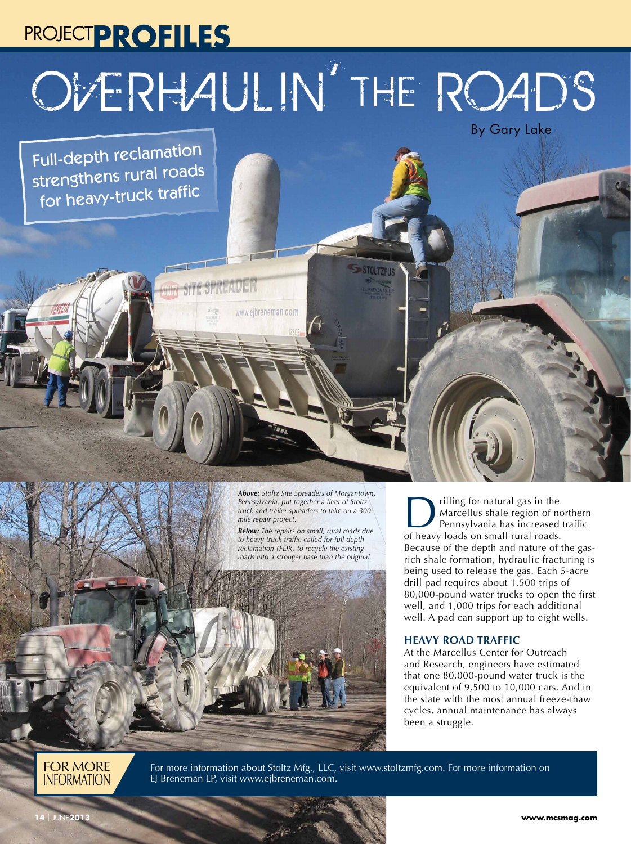# PROJECT**PROFILES** Overhaulin' the Roads

**TOLTZFUS** 

Full-depth reclamation strengthens rural roads for heavy-truck traffic

> *Above: Stoltz Site Spreaders of Morgantown, Pennsylvania, put together a fleet of Stoltz truck and trailer spreaders to take on a 300 mile repair project.*

www.ejbreneman.com

*Below: The repairs on small, rural roads due to heavy-truck traffic called for full-depth reclamation (FDR) to recycle the existing roads into a stronger base than the original.*



**Drilling for natural gas in the<br>
Marcellus shale region of northern<br>
Pennsylvania has increased traffic<br>
Of heavy loads on small rural roads** Marcellus shale region of northern of heavy loads on small rural roads. Because of the depth and nature of the gasrich shale formation, hydraulic fracturing is being used to release the gas. Each 5-acre drill pad requires about 1,500 trips of 80,000-pound water trucks to open the first well, and 1,000 trips for each additional well. A pad can support up to eight wells.

By Gary Lake

### **HEAVY ROAD TRAFFIC**

At the Marcellus Center for Outreach and Research, engineers have estimated that one 80,000-pound water truck is the equivalent of 9,500 to 10,000 cars. And in the state with the most annual freeze-thaw cycles, annual maintenance has always been a struggle.

FOR MORE **INFORMATION** 

For more information about Stoltz Mfg., LLC, visit www.stoltzmfg.com. For more information on EJ Breneman LP, visit www.ejbreneman.com.